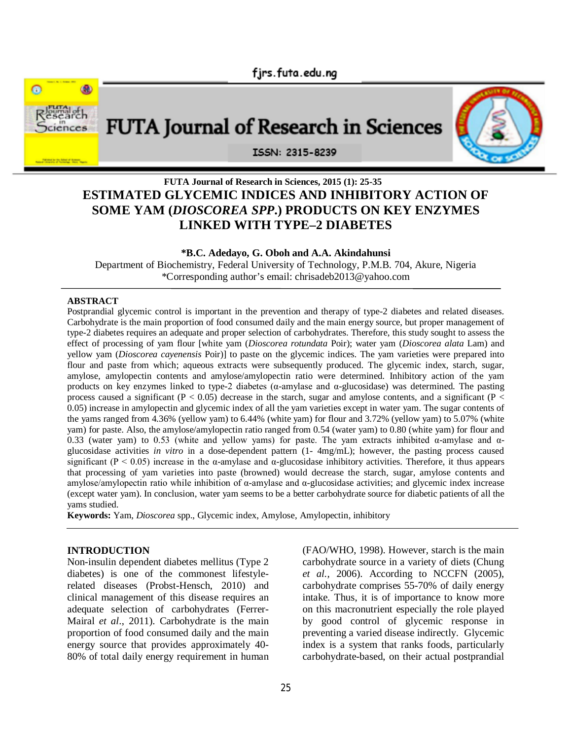



# **FUTA Journal of Research in Sciences, 2015 (1): 25-35 ESTIMATED GLYCEMIC INDICES AND INHIBITORY ACTION OF SOME YAM (***DIOSCOREA SPP***.) PRODUCTS ON KEY ENZYMES LINKED WITH TYPE–2 DIABETES**

**\*B.C. Adedayo, G. Oboh and A.A. Akindahunsi**

Department of Biochemistry, Federal University of Technology, P.M.B. 704, Akure, Nigeria \*Corresponding author's email: chrisadeb2013@yahoo.com

#### **ABSTRACT**

Postprandial glycemic control is important in the prevention and therapy of type-2 diabetes and related diseases. Carbohydrate is the main proportion of food consumed daily and the main energy source, but proper management of type-2 diabetes requires an adequate and proper selection of carbohydrates. Therefore, this study sought to assess the effect of processing of yam flour [white yam (*Dioscorea rotundata* Poir); water yam (*Dioscorea alata* Lam) and yellow yam (*Dioscorea cayenensis* Poir)] to paste on the glycemic indices. The yam varieties were prepared into flour and paste from which; aqueous extracts were subsequently produced. The glycemic index, starch, sugar, amylose, amylopectin contents and amylose/amylopectin ratio were determined. Inhibitory action of the yam products on key enzymes linked to type-2 diabetes (α-amylase and α-glucosidase) was determined. The pasting process caused a significant ( $P < 0.05$ ) decrease in the starch, sugar and amylose contents, and a significant ( $P <$ 0.05) increase in amylopectin and glycemic index of all the yam varieties except in water yam. The sugar contents of the yams ranged from 4.36% (yellow yam) to 6.44% (white yam) for flour and 3.72% (yellow yam) to 5.07% (white yam) for paste. Also, the amylose/amylopectin ratio ranged from 0.54 (water yam) to 0.80 (white yam) for flour and 0.33 (water yam) to 0.53 (white and yellow yams) for paste. The yam extracts inhibited α-amylase and αglucosidase activities *in vitro* in a dose-dependent pattern (1- 4mg/mL); however, the pasting process caused significant ( $P < 0.05$ ) increase in the  $\alpha$ -amylase and  $\alpha$ -glucosidase inhibitory activities. Therefore, it thus appears that processing of yam varieties into paste (browned) would decrease the starch, sugar, amylose contents and amylose/amylopectin ratio while inhibition of  $\alpha$ -amylase and  $\alpha$ -glucosidase activities; and glycemic index increase (except water yam). In conclusion, water yam seems to be a better carbohydrate source for diabetic patients of all the yams studied.

**Keywords:** Yam, *Dioscorea* spp., Glycemic index, Amylose, Amylopectin, inhibitory

#### **INTRODUCTION**

Non-insulin dependent diabetes mellitus (Type 2 diabetes) is one of the commonest lifestylerelated diseases (Probst-Hensch, 2010) and clinical management of this disease requires an adequate selection of carbohydrates (Ferrer-Mairal *et al*., 2011). Carbohydrate is the main proportion of food consumed daily and the main energy source that provides approximately 40- 80% of total daily energy requirement in human (FAO/WHO, 1998). However, starch is the main carbohydrate source in a variety of diets (Chung *et al.,* 2006). According to NCCFN (2005), carbohydrate comprises 55-70% of daily energy intake. Thus, it is of importance to know more on this macronutrient especially the role played by good control of glycemic response in preventing a varied disease indirectly. Glycemic index is a system that ranks foods, particularly carbohydrate-based, on their actual postprandial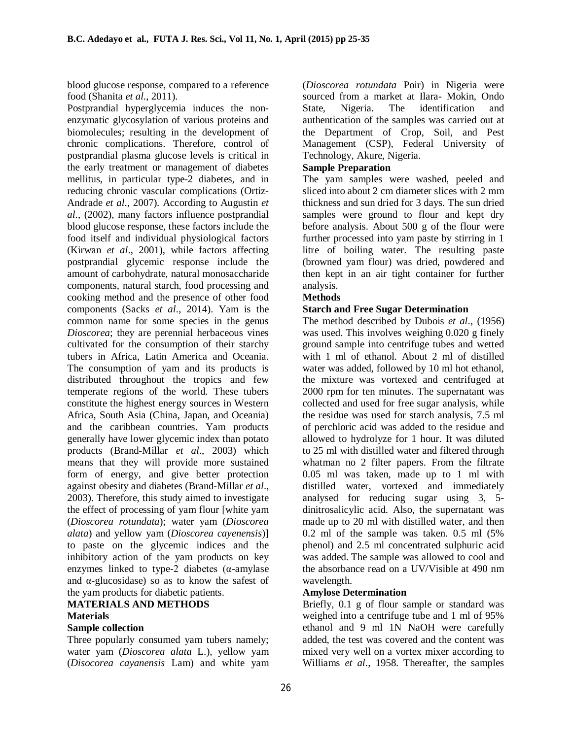blood glucose response, compared to a reference food (Shanita *et al*., 2011).

Postprandial hyperglycemia induces the nonenzymatic glycosylation of various proteins and biomolecules; resulting in the development of chronic complications. Therefore, control of postprandial plasma glucose levels is critical in the early treatment or management of diabetes mellitus, in particular type-2 diabetes, and in reducing chronic vascular complications (Ortiz-Andrade *et al*., 2007). According to Augustin *et al*., (2002), many factors influence postprandial blood glucose response, these factors include the food itself and individual physiological factors (Kirwan *et al*., 2001), while factors affecting postprandial glycemic response include the amount of carbohydrate, natural monosaccharide components, natural starch, food processing and cooking method and the presence of other food components (Sacks *et al*., 2014). Yam is the common name for some species in the genus *Dioscorea*; they are perennial herbaceous vines cultivated for the consumption of their starchy tubers in Africa, Latin America and Oceania. The consumption of yam and its products is distributed throughout the tropics and few temperate regions of the world. These tubers constitute the highest energy sources in Western Africa, South Asia (China, Japan, and Oceania) and the caribbean countries. Yam products generally have lower glycemic index than potato products (Brand-Millar *et al*., 2003) which means that they will provide more sustained form of energy, and give better protection against obesity and diabetes (Brand-Millar *et al*., 2003). Therefore, this study aimed to investigate the effect of processing of yam flour [white yam (*Dioscorea rotundata*); water yam (*Dioscorea alata*) and yellow yam (*Dioscorea cayenensis*)] to paste on the glycemic indices and the inhibitory action of the yam products on key enzymes linked to type-2 diabetes  $(\alpha$ -amylase and  $\alpha$ -glucosidase) so as to know the safest of the yam products for diabetic patients.

### **MATERIALS AND METHODS Materials**

#### **Sample collection**

Three popularly consumed yam tubers namely; water yam (*Dioscorea alata* L.), yellow yam (*Disocorea cayanensis* Lam) and white yam

(*Dioscorea rotundata* Poir) in Nigeria were sourced from a market at Ilara- Mokin, Ondo State, Nigeria. The identification and authentication of the samples was carried out at the Department of Crop, Soil, and Pest Management (CSP), Federal University of Technology, Akure, Nigeria.

### **Sample Preparation**

The yam samples were washed, peeled and sliced into about 2 cm diameter slices with 2 mm thickness and sun dried for 3 days. The sun dried samples were ground to flour and kept dry before analysis. About 500 g of the flour were further processed into yam paste by stirring in 1 litre of boiling water. The resulting paste (browned yam flour) was dried, powdered and then kept in an air tight container for further analysis.

#### **Methods**

#### **Starch and Free Sugar Determination**

The method described by Dubois *et al*., (1956) was used. This involves weighing 0.020 g finely ground sample into centrifuge tubes and wetted with 1 ml of ethanol. About 2 ml of distilled water was added, followed by 10 ml hot ethanol, the mixture was vortexed and centrifuged at 2000 rpm for ten minutes. The supernatant was collected and used for free sugar analysis, while the residue was used for starch analysis, 7.5 ml of perchloric acid was added to the residue and allowed to hydrolyze for 1 hour. It was diluted to 25 ml with distilled water and filtered through whatman no 2 filter papers. From the filtrate 0.05 ml was taken, made up to 1 ml with distilled water, vortexed and immediately analysed for reducing sugar using 3, 5 dinitrosalicylic acid. Also, the supernatant was made up to 20 ml with distilled water, and then 0.2 ml of the sample was taken. 0.5 ml (5% phenol) and 2.5 ml concentrated sulphuric acid was added. The sample was allowed to cool and the absorbance read on a UV/Visible at 490 nm wavelength.

#### **Amylose Determination**

Briefly, 0.1 g of flour sample or standard was weighed into a centrifuge tube and 1 ml of 95% ethanol and 9 ml 1N NaOH were carefully added, the test was covered and the content was mixed very well on a vortex mixer according to Williams *et al*., 1958. Thereafter, the samples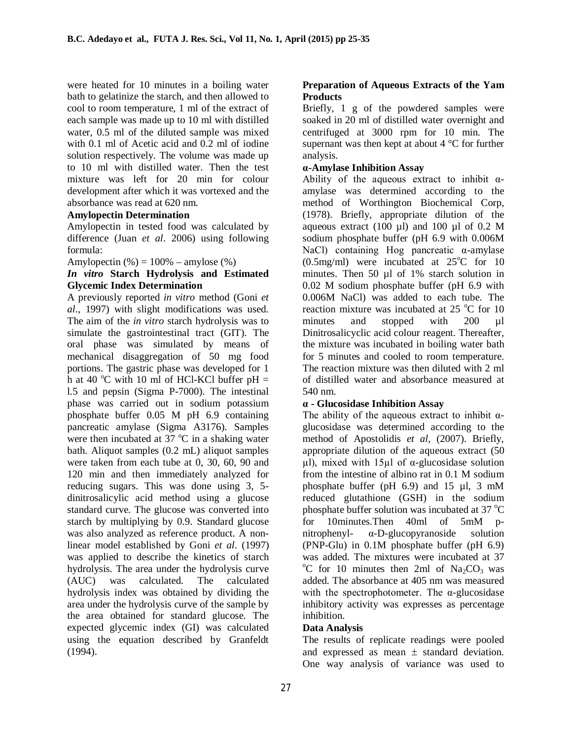were heated for 10 minutes in a boiling water bath to gelatinize the starch, and then allowed to cool to room temperature, 1 ml of the extract of each sample was made up to 10 ml with distilled water, 0.5 ml of the diluted sample was mixed with 0.1 ml of Acetic acid and 0.2 ml of iodine solution respectively. The volume was made up to 10 ml with distilled water. Then the test mixture was left for 20 min for colour development after which it was vortexed and the absorbance was read at 620 nm.

### **Amylopectin Determination**

Amylopectin in tested food was calculated by difference (Juan *et al*. 2006) using following formula:

Amylopectin  $% = 100% - \text{amylose}(%)$ 

### *In vitro* **Starch Hydrolysis and Estimated Glycemic Index Determination**

A previously reported *in vitro* method (Goni *et al*., 1997) with slight modifications was used. The aim of the *in vitro* starch hydrolysis was to simulate the gastrointestinal tract (GIT). The oral phase was simulated by means of mechanical disaggregation of 50 mg food portions. The gastric phase was developed for 1 h at 40  $^{\circ}$ C with 10 ml of HCl-KCl buffer pH = l.5 and pepsin (Sigma P-7000). The intestinal phase was carried out in sodium potassium phosphate buffer 0.05 M pH 6.9 containing pancreatic amylase (Sigma A3176). Samples were then incubated at  $37^{\circ}$ C in a shaking water bath. Aliquot samples (0.2 mL) aliquot samples were taken from each tube at 0, 30, 60, 90 and 120 min and then immediately analyzed for reducing sugars. This was done using 3, 5 dinitrosalicylic acid method using a glucose standard curve. The glucose was converted into starch by multiplying by 0.9. Standard glucose was also analyzed as reference product. A nonlinear model established by Goni *et al*. (1997) was applied to describe the kinetics of starch hydrolysis. The area under the hydrolysis curve<br>(AUC) was calculated. The calculated (AUC) was calculated. hydrolysis index was obtained by dividing the area under the hydrolysis curve of the sample by the area obtained for standard glucose. The expected glycemic index (GI) was calculated using the equation described by Granfeldt (1994).

# **Preparation of Aqueous Extracts of the Yam Products**

Briefly, 1 g of the powdered samples were soaked in 20 ml of distilled water overnight and centrifuged at 3000 rpm for 10 min. The supernant was then kept at about 4 °C for further analysis.

### **α-Amylase Inhibition Assay**

Ability of the aqueous extract to inhibit  $\alpha$ amylase was determined according to the method of Worthington Biochemical Corp, (1978). Briefly, appropriate dilution of the aqueous extract  $(100 \text{ µ})$  and  $100 \text{ µ}$  of  $0.2 \text{ M}$ sodium phosphate buffer (pH 6.9 with 0.006M NaCl) containing Hog pancreatic α-amylase (0.5mg/ml) were incubated at  $25^{\circ}$ C for 10 minutes. Then 50 ul of 1% starch solution in 0.02 M sodium phosphate buffer (pH 6.9 with 0.006M NaCl) was added to each tube. The reaction mixture was incubated at  $25^{\circ}$ C for 10 minutes and stopped with 200 µl Dinitrosalicyclic acid colour reagent. Thereafter, the mixture was incubated in boiling water bath for 5 minutes and cooled to room temperature. The reaction mixture was then diluted with 2 ml of distilled water and absorbance measured at 540 nm.

# **α - Glucosidase Inhibition Assay**

The ability of the aqueous extract to inhibit  $\alpha$ glucosidase was determined according to the method of Apostolidis *et al*, (2007). Briefly, appropriate dilution of the aqueous extract (50 μl), mixed with 15μl of α-glucosidase solution from the intestine of albino rat in 0.1 M sodium phosphate buffer (pH  $6.9$ ) and 15  $\mu$ l, 3 mM reduced glutathione (GSH) in the sodium phosphate buffer solution was incubated at 37  $^{\circ}$ C for 10minutes.Then 40ml of 5mM pnitrophenyl- α-D-glucopyranoside solution (PNP-Glu) in 0.1M phosphate buffer (pH 6.9) was added. The mixtures were incubated at 37 <sup>o</sup>C for 10 minutes then 2ml of Na<sub>2</sub>CO<sub>3</sub> was added. The absorbance at 405 nm was measured with the spectrophotometer. The  $\alpha$ -glucosidase inhibitory activity was expresses as percentage inhibition.

# **Data Analysis**

The results of replicate readings were pooled and expressed as mean  $\pm$  standard deviation. One way analysis of variance was used to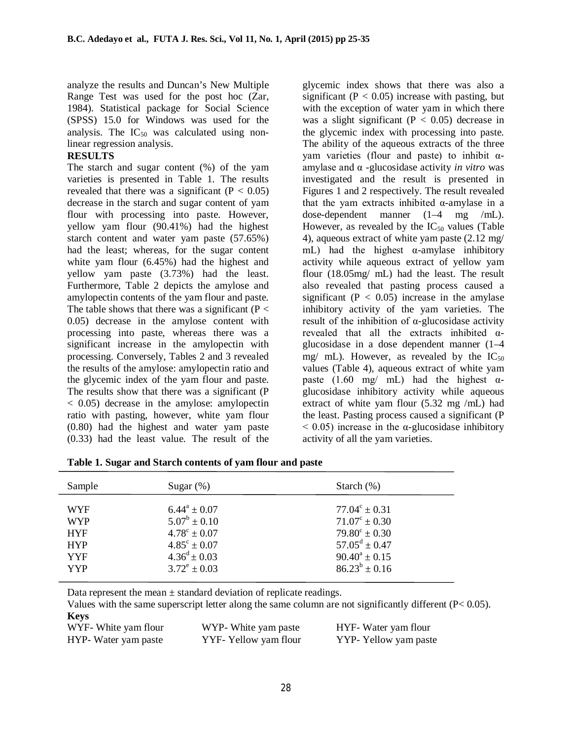analyze the results and Duncan's New Multiple Range Test was used for the post hoc (Zar, 1984). Statistical package for Social Science (SPSS) 15.0 for Windows was used for the analysis. The  $IC_{50}$  was calculated using nonlinear regression analysis.

### **RESULTS**

The starch and sugar content (%) of the yam varieties is presented in Table 1. The results revealed that there was a significant  $(P < 0.05)$ decrease in the starch and sugar content of yam flour with processing into paste. However, yellow yam flour (90.41%) had the highest starch content and water yam paste (57.65%) had the least; whereas, for the sugar content white yam flour (6.45%) had the highest and yellow yam paste (3.73%) had the least. Furthermore, Table 2 depicts the amylose and amylopectin contents of the yam flour and paste. The table shows that there was a significant ( $P <$ 0.05) decrease in the amylose content with processing into paste, whereas there was a significant increase in the amylopectin with processing. Conversely, Tables 2 and 3 revealed the results of the amylose: amylopectin ratio and the glycemic index of the yam flour and paste. The results show that there was a significant (P < 0.05) decrease in the amylose: amylopectin ratio with pasting, however, white yam flour (0.80) had the highest and water yam paste (0.33) had the least value. The result of the

glycemic index shows that there was also a significant ( $P < 0.05$ ) increase with pasting, but with the exception of water yam in which there was a slight significant  $(P < 0.05)$  decrease in the glycemic index with processing into paste. The ability of the aqueous extracts of the three yam varieties (flour and paste) to inhibit αamylase and α -glucosidase activity *in vitro* was investigated and the result is presented in Figures 1 and 2 respectively. The result revealed that the yam extracts inhibited  $α$ -amylase in a dose-dependent manner (1–4 mg /mL). However, as revealed by the  $IC_{50}$  values (Table 4), aqueous extract of white yam paste (2.12 mg/ mL) had the highest  $\alpha$ -amylase inhibitory activity while aqueous extract of yellow yam flour (18.05mg/ mL) had the least. The result also revealed that pasting process caused a significant ( $P < 0.05$ ) increase in the amylase inhibitory activity of the yam varieties. The result of the inhibition of α-glucosidase activity revealed that all the extracts inhibited αglucosidase in a dose dependent manner (1–4 mg/ mL). However, as revealed by the  $IC_{50}$ values (Table 4), aqueous extract of white yam paste (1.60 mg/ mL) had the highest  $\alpha$ glucosidase inhibitory activity while aqueous extract of white yam flour (5.32 mg /mL) had the least. Pasting process caused a significant (P  $< 0.05$ ) increase in the  $\alpha$ -glucosidase inhibitory activity of all the yam varieties.

| Sample                                                             | Sugar $(\%)$                                                                                                      | Starch $(\%)$                                                                                                                      |
|--------------------------------------------------------------------|-------------------------------------------------------------------------------------------------------------------|------------------------------------------------------------------------------------------------------------------------------------|
| <b>WYF</b><br><b>WYP</b><br><b>HYF</b><br><b>HYP</b><br><b>YYF</b> | $6.44^a \pm 0.07$<br>$5.07^b \pm 0.10$<br>$4.78^{\circ} \pm 0.07$<br>$4.85^{\circ} \pm 0.07$<br>$4.36^d \pm 0.03$ | $77.04^{\circ} \pm 0.31$<br>$71.07^{\circ} \pm 0.30$<br>$79.80^{\circ} \pm 0.30$<br>$57.05^{\rm d} \pm 0.47$<br>$90.40^a \pm 0.15$ |
| <b>YYP</b>                                                         | $3.72^e \pm 0.03$                                                                                                 | $86.23^{b} \pm 0.16$                                                                                                               |

| Table 1. Sugar and Starch contents of yam flour and paste |  |  |  |  |
|-----------------------------------------------------------|--|--|--|--|
|-----------------------------------------------------------|--|--|--|--|

Data represent the mean  $\pm$  standard deviation of replicate readings.

Values with the same superscript letter along the same column are not significantly different  $(P< 0.05)$ . **Keys**

| WYF- White yam flour | WYP- White yam paste  | HYF- Water yam flour  |
|----------------------|-----------------------|-----------------------|
| HYP- Water yam paste | YYF- Yellow yam flour | YYP- Yellow yam paste |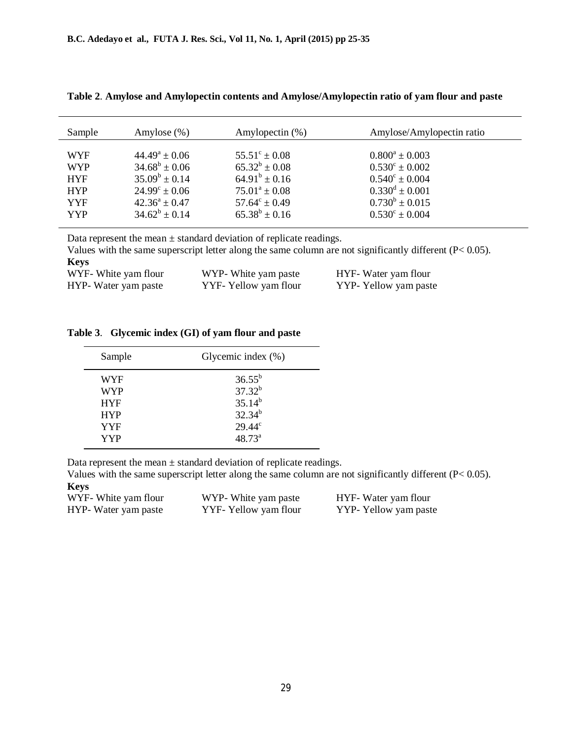| $44.49^a \pm 0.06$<br>$55.51^{\circ} \pm 0.08$<br>$0.800^a \pm 0.003$<br><b>WYF</b><br>$65.32^b \pm 0.08$<br>$34.68^b \pm 0.06$<br>$0.530^{\circ} \pm 0.002$<br><b>WYP</b><br>$64.91^b \pm 0.16$<br>$35.09^b \pm 0.14$<br>$0.540^{\circ} \pm 0.004$<br><b>HYF</b><br>$0.330^d \pm 0.001$<br>$24.99^{\circ} \pm 0.06$<br>$75.01^a \pm 0.08$<br><b>HYP</b> | Sample | Amylose $(\%)$     | Amylopectin $(\%)$       | Amylose/Amylopectin ratio |
|----------------------------------------------------------------------------------------------------------------------------------------------------------------------------------------------------------------------------------------------------------------------------------------------------------------------------------------------------------|--------|--------------------|--------------------------|---------------------------|
|                                                                                                                                                                                                                                                                                                                                                          |        |                    |                          |                           |
|                                                                                                                                                                                                                                                                                                                                                          |        |                    |                          |                           |
|                                                                                                                                                                                                                                                                                                                                                          |        |                    |                          |                           |
|                                                                                                                                                                                                                                                                                                                                                          |        |                    |                          |                           |
|                                                                                                                                                                                                                                                                                                                                                          | YYF    | $42.36^a \pm 0.47$ | $57.64^{\circ} \pm 0.49$ | $0.730^b \pm 0.015$       |
| $34.62^b \pm 0.14$<br>$65.38^b \pm 0.16$<br>$0.530^{\circ} \pm 0.004$<br><b>YYP</b>                                                                                                                                                                                                                                                                      |        |                    |                          |                           |

**Table 2**. **Amylose and Amylopectin contents and Amylose/Amylopectin ratio of yam flour and paste**

Data represent the mean  $\pm$  standard deviation of replicate readings.

Values with the same superscript letter along the same column are not significantly different (P< 0.05). **Keys**<br>WYE-White vam flo WVD- White yam paste HVF- Weter yam flour W

| W I F- W nie yam nour | w r P - w me yam paste | H I F - Water yam nour |
|-----------------------|------------------------|------------------------|
| HYP- Water yam paste  | YYF- Yellow yam flour  | YYP- Yellow yam paste  |

#### **Table 3**. **Glycemic index (GI) of yam flour and paste**

| Sample     | Glycemic index $(\% )$ |
|------------|------------------------|
| WYF        | $36.55^{\rm b}$        |
| <b>WYP</b> | $37.32^{b}$            |
| <b>HYF</b> | $35.14^{b}$            |
| <b>HYP</b> | $32.34^{b}$            |
| <b>YYF</b> | $29.44^{\circ}$        |
| <b>YYP</b> | $48.73^{a}$            |
|            |                        |

Data represent the mean  $\pm$  standard deviation of replicate readings.

Values with the same superscript letter along the same column are not significantly different (P< 0.05). **Keys**

| WYF- White yam flour | WYP- White yam paste  | HYF- Water yam flour  |
|----------------------|-----------------------|-----------------------|
| HYP- Water yam paste | YYF- Yellow yam flour | YYP- Yellow yam paste |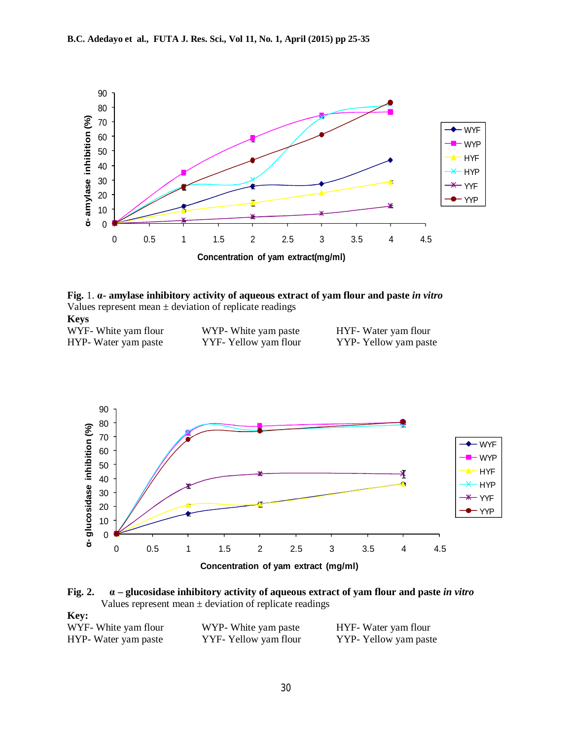

**Fig.** 1. **α- amylase inhibitory activity of aqueous extract of yam flour and paste** *in vitro* Values represent mean  $\pm$  deviation of replicate readings **Keys**

| $- - -$              |                       |                       |
|----------------------|-----------------------|-----------------------|
| WYF- White yam flour | WYP- White yam paste  | HYF- Water yam flour  |
| HYP- Water yam paste | YYF- Yellow yam flour | YYP- Yellow yam paste |



**Fig. 2. α – glucosidase inhibitory activity of aqueous extract of yam flour and paste** *in vitro* Values represent mean  $\pm$  deviation of replicate readings

| <b>Key:</b>          |                       |                       |
|----------------------|-----------------------|-----------------------|
| WYF- White yam flour | WYP- White yam paste  | HYF- Water yam flour  |
| HYP- Water yam paste | YYF- Yellow yam flour | YYP- Yellow yam paste |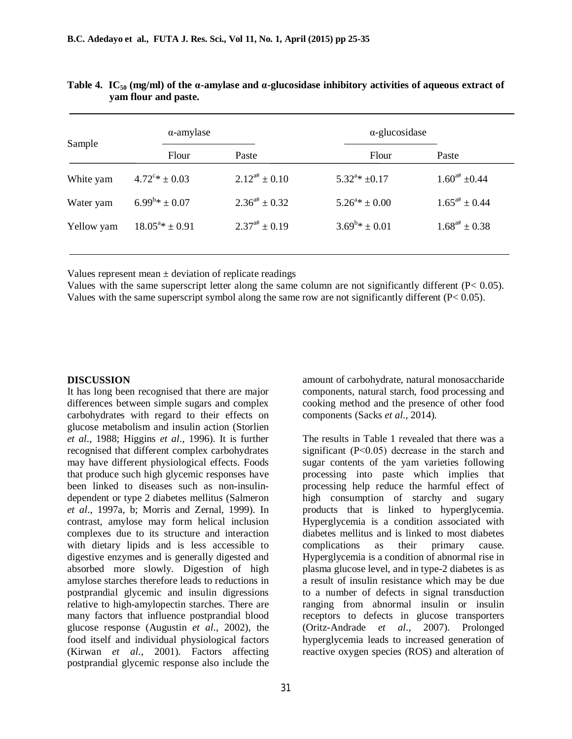| $\alpha$ -amylase        |                       | $\alpha$ -glucosidase     |                       |
|--------------------------|-----------------------|---------------------------|-----------------------|
| Flour                    | Paste                 | Flour                     | Paste                 |
| $4.72^{\circ*} \pm 0.03$ | $2.12^{4} \pm 0.10$   | $5.32^{a}$ * ±0.17        | $1.60^{4}$ ±0.44      |
| $6.99^{b} * \pm 0.07$    | $2.36^{a\#} \pm 0.32$ | $5.26^{a*} \pm 0.00$      | $1.65^{a\#} \pm 0.44$ |
| $18.05^{a}$ * ± 0.91     | $2.37^{a\#} \pm 0.19$ | $3.69^{\rm b} * \pm 0.01$ | $1.68^{4} \pm 0.38$   |
|                          |                       |                           |                       |

**Table 4.** IC<sub>50</sub> (mg/ml) of the  $\alpha$ -amylase and  $\alpha$ -glucosidase inhibitory activities of aqueous extract of **yam flour and paste.**

Values represent mean  $\pm$  deviation of replicate readings

Values with the same superscript letter along the same column are not significantly different  $(P< 0.05)$ . Values with the same superscript symbol along the same row are not significantly different  $(P< 0.05)$ .

### **DISCUSSION**

It has long been recognised that there are major differences between simple sugars and complex carbohydrates with regard to their effects on glucose metabolism and insulin action (Storlien *et al*., 1988; Higgins *et al*., 1996). It is further recognised that different complex carbohydrates may have different physiological effects. Foods that produce such high glycemic responses have been linked to diseases such as non-insulindependent or type 2 diabetes mellitus (Salmeron *et al*., 1997a, b; Morris and Zernal, 1999). In contrast, amylose may form helical inclusion complexes due to its structure and interaction with dietary lipids and is less accessible to digestive enzymes and is generally digested and absorbed more slowly. Digestion of high amylose starches therefore leads to reductions in postprandial glycemic and insulin digressions relative to high-amylopectin starches. There are many factors that influence postprandial blood glucose response (Augustin *et al*., 2002), the food itself and individual physiological factors (Kirwan *et al*., 2001). Factors affecting postprandial glycemic response also include the

amount of carbohydrate, natural monosaccharide components, natural starch, food processing and cooking method and the presence of other food components (Sacks *et al*., 2014).

The results in Table 1 revealed that there was a significant (P˂0.05) decrease in the starch and sugar contents of the yam varieties following processing into paste which implies that processing help reduce the harmful effect of high consumption of starchy and sugary products that is linked to hyperglycemia. Hyperglycemia is a condition associated with diabetes mellitus and is linked to most diabetes complications as their primary cause. Hyperglycemia is a condition of abnormal rise in plasma glucose level, and in type-2 diabetes is as a result of insulin resistance which may be due to a number of defects in signal transduction ranging from abnormal insulin or insulin receptors to defects in glucose transporters (Oritz-Andrade *et al*., 2007). Prolonged hyperglycemia leads to increased generation of reactive oxygen species (ROS) and alteration of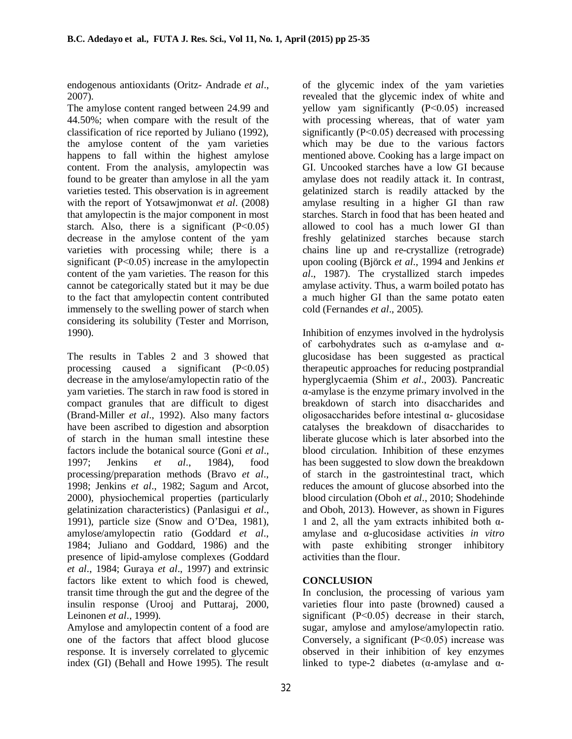endogenous antioxidants (Oritz- Andrade *et al*., 2007).

The amylose content ranged between 24.99 and 44.50%; when compare with the result of the classification of rice reported by Juliano (1992), the amylose content of the yam varieties happens to fall within the highest amylose content. From the analysis, amylopectin was found to be greater than amylose in all the yam varieties tested. This observation is in agreement with the report of Yotsawjmonwat *et al*. (2008) that amylopectin is the major component in most starch. Also, there is a significant  $(P<0.05)$ decrease in the amylose content of the yam varieties with processing while; there is a significant (P˂0.05) increase in the amylopectin content of the yam varieties. The reason for this cannot be categorically stated but it may be due to the fact that amylopectin content contributed immensely to the swelling power of starch when considering its solubility (Tester and Morrison, 1990).

The results in Tables 2 and 3 showed that processing caused a significant (P˂0.05) decrease in the amylose/amylopectin ratio of the yam varieties. The starch in raw food is stored in compact granules that are difficult to digest (Brand-Miller *et al*., 1992). Also many factors have been ascribed to digestion and absorption of starch in the human small intestine these factors include the botanical source (Goni *et al*., 1997; Jenkins *et al*., 1984), food processing/preparation methods (Bravo *et al*., 1998; Jenkins *et al*., 1982; Sagum and Arcot, 2000), physiochemical properties (particularly gelatinization characteristics) (Panlasigui *et al*., 1991), particle size (Snow and O'Dea, 1981), amylose/amylopectin ratio (Goddard *et al*., 1984; Juliano and Goddard, 1986) and the presence of lipid-amylose complexes (Goddard *et al*., 1984; Guraya *et al*., 1997) and extrinsic factors like extent to which food is chewed, transit time through the gut and the degree of the insulin response (Urooj and Puttaraj, 2000, Leinonen *et al*., 1999).

Amylose and amylopectin content of a food are one of the factors that affect blood glucose response. It is inversely correlated to glycemic index (GI) (Behall and Howe 1995). The result

of the glycemic index of the yam varieties revealed that the glycemic index of white and yellow yam significantly (P˂0.05) increased with processing whereas, that of water yam significantly (P˂0.05) decreased with processing which may be due to the various factors mentioned above. Cooking has a large impact on GI. Uncooked starches have a low GI because amylase does not readily attack it. In contrast, gelatinized starch is readily attacked by the amylase resulting in a higher GI than raw starches. Starch in food that has been heated and allowed to cool has a much lower GI than freshly gelatinized starches because starch chains line up and re-crystallize (retrograde) upon cooling (Björck *et al*., 1994 and Jenkins *et al*., 1987). The crystallized starch impedes amylase activity. Thus, a warm boiled potato has a much higher GI than the same potato eaten cold (Fernandes *et al*., 2005).

Inhibition of enzymes involved in the hydrolysis of carbohydrates such as α-amylase and αglucosidase has been suggested as practical therapeutic approaches for reducing postprandial hyperglycaemia (Shim *et al*., 2003). Pancreatic α-amylase is the enzyme primary involved in the breakdown of starch into disaccharides and oligosaccharides before intestinal α- glucosidase catalyses the breakdown of disaccharides to liberate glucose which is later absorbed into the blood circulation. Inhibition of these enzymes has been suggested to slow down the breakdown of starch in the gastrointestinal tract, which reduces the amount of glucose absorbed into the blood circulation (Oboh *et al*., 2010; Shodehinde and Oboh, 2013). However, as shown in Figures 1 and 2, all the yam extracts inhibited both  $\alpha$ amylase and α-glucosidase activities *in vitro* with paste exhibiting stronger inhibitory activities than the flour.

# **CONCLUSION**

In conclusion, the processing of various yam varieties flour into paste (browned) caused a significant  $(P<0.05)$  decrease in their starch, sugar, amylose and amylose/amylopectin ratio. Conversely, a significant (P˂0.05) increase was observed in their inhibition of key enzymes linked to type-2 diabetes ( $\alpha$ -amylase and  $\alpha$ -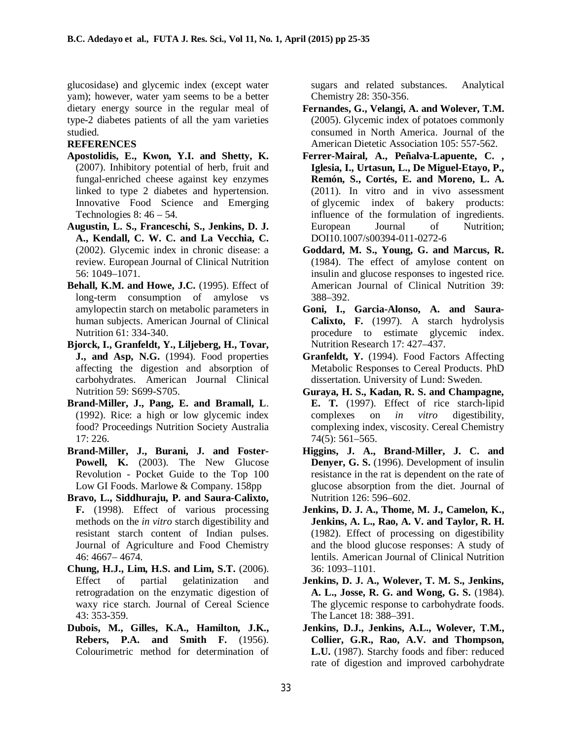glucosidase) and glycemic index (except water yam); however, water yam seems to be a better dietary energy source in the regular meal of type-2 diabetes patients of all the yam varieties studied.

### **REFERENCES**

- **Apostolidis, E., Kwon, Y.I. and Shetty, K.** (2007). Inhibitory potential of herb, fruit and fungal-enriched cheese against key enzymes linked to type 2 diabetes and hypertension. Innovative Food Science and Emerging Technologies  $8: 46 - 54$ .
- **Augustin, L. S., Franceschi, S., Jenkins, D. J. A., Kendall, C. W. C. and La Vecchia, C.** (2002). Glycemic index in chronic disease: a review. European Journal of Clinical Nutrition 56: 1049–1071.
- **Behall, K.M. and Howe, J.C.** (1995). Effect of long-term consumption of amylose vs amylopectin starch on metabolic parameters in human subjects. American Journal of Clinical Nutrition 61: 334-340.
- **Bjorck, I., Granfeldt, Y., Liljeberg, H., Tovar, J., and Asp, N.G.** (1994). Food properties affecting the digestion and absorption of carbohydrates. American Journal Clinical Nutrition 59: S699-S705.
- **Brand-Miller, J., Pang, E. and Bramall, L**. (1992). Rice: a high or low glycemic index food? Proceedings Nutrition Society Australia 17: 226.
- **Brand-Miller, J., Burani, J. and Foster-**Powell, K. (2003). The New Glucose Revolution - Pocket Guide to the Top 100 Low GI Foods. Marlowe & Company. 158pp
- **Bravo, L., Siddhuraju, P. and Saura-Calixto, F.** (1998). Effect of various processing methods on the *in vitro* starch digestibility and resistant starch content of Indian pulses. Journal of Agriculture and Food Chemistry 46: 4667– 4674.
- **Chung, H.J., Lim, H.S. and Lim, S.T.** (2006). Effect of partial gelatinization and retrogradation on the enzymatic digestion of waxy rice starch. Journal of Cereal Science 43: 353-359.
- **Dubois, M., Gilles, K.A., Hamilton, J.K., Rebers, P.A. and Smith F.** (1956). Colourimetric method for determination of

sugars and related substances. Analytical Chemistry 28: 350-356.

- **Fernandes, G., Velangi, A. and Wolever, T.M.** (2005). Glycemic index of potatoes commonly consumed in North America. Journal of the American Dietetic Association 105: 557-562.
- **Ferrer***-***Mairal, A., Peñalva-Lapuente, C. , Iglesia, I., Urtasun, L., De Miguel-Etayo, P., Remón, S., Cortés, E. and Moreno, L. A.** (2011). In vitro and in vivo assessment of glycemic index of bakery products: influence of the formulation of ingredients. European Journal of Nutrition; DOI10.1007/s00394-011-0272-6
- **Goddard, M. S., Young, G. and Marcus, R.** (1984). The effect of amylose content on insulin and glucose responses to ingested rice. American Journal of Clinical Nutrition 39: 388–392.
- **Goni, I., Garcia-Alonso, A. and Saura-Calixto, F.** (1997). A starch hydrolysis procedure to estimate glycemic index. Nutrition Research 17: 427–437.
- **Granfeldt, Y.** (1994). Food Factors Affecting Metabolic Responses to Cereal Products. PhD dissertation. University of Lund: Sweden.
- **Guraya, H. S., Kadan, R. S. and Champagne, E. T.** (1997). Effect of rice starch-lipid complexes on *in vitro* digestibility, complexing index, viscosity. Cereal Chemistry 74(5): 561–565.
- **Higgins, J. A., Brand-Miller, J. C. and Denyer, G. S.** (1996). Development of insulin resistance in the rat is dependent on the rate of glucose absorption from the diet. Journal of Nutrition 126: 596–602.
- **Jenkins, D. J. A., Thome, M. J., Camelon, K., Jenkins, A. L., Rao, A. V. and Taylor, R. H.** (1982). Effect of processing on digestibility and the blood glucose responses: A study of lentils. American Journal of Clinical Nutrition 36: 1093–1101.
- **Jenkins, D. J. A., Wolever, T. M. S., Jenkins, A. L., Josse, R. G. and Wong, G. S.** (1984). The glycemic response to carbohydrate foods. The Lancet 18: 388–391.
- **Jenkins, D.J., Jenkins, A.L., Wolever, T.M., Collier, G.R., Rao, A.V. and Thompson, L.U.** (1987). Starchy foods and fiber: reduced rate of digestion and improved carbohydrate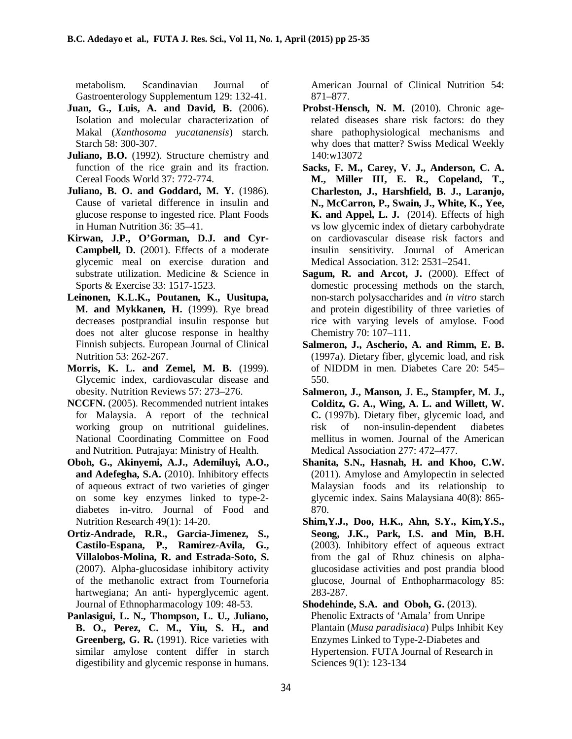metabolism. Scandinavian Journal of Gastroenterology Supplementum 129: 132-41.

- **Juan, G., Luis, A. and David, B.** (2006). Isolation and molecular characterization of Makal (*Xanthosoma yucatanensis*) starch. Starch 58: 300-307.
- **Juliano, B.O.** (1992). Structure chemistry and function of the rice grain and its fraction. Cereal Foods World 37: 772-774.
- **Juliano, B. O. and Goddard, M. Y.** (1986). Cause of varietal difference in insulin and glucose response to ingested rice. Plant Foods in Human Nutrition 36: 35–41.
- **Kirwan, J.P., O'Gorman, D.J. and Cyr-Campbell, D.** (2001). Effects of a moderate glycemic meal on exercise duration and substrate utilization. Medicine & Science in Sports & Exercise 33: 1517-1523.
- **Leinonen, K.L.K., Poutanen, K., Uusitupa, M. and Mykkanen, H.** (1999). Rye bread decreases postprandial insulin response but does not alter glucose response in healthy Finnish subjects. European Journal of Clinical Nutrition 53: 262-267.
- **Morris, K. L. and Zemel, M. B.** (1999). Glycemic index, cardiovascular disease and obesity. Nutrition Reviews 57: 273–276.
- **NCCFN.** (2005). Recommended nutrient intakes for Malaysia. A report of the technical working group on nutritional guidelines. National Coordinating Committee on Food and Nutrition. Putrajaya: Ministry of Health.
- **Oboh, G., Akinyemi, A.J., Ademiluyi, A.O., and Adefegha, S.A.** (2010). Inhibitory effects of aqueous extract of two varieties of ginger on some key enzymes linked to type-2 diabetes in-vitro. Journal of Food and Nutrition Research 49(1): 14-20.
- **Ortiz-Andrade, R.R., Garcia-Jimenez, S., Castilo-Espana, P., Ramirez-Avila, G., Villalobos-Molina, R. and Estrada-Soto, S.** (2007). Alpha-glucosidase inhibitory activity of the methanolic extract from Tourneforia hartwegiana; An anti- hyperglycemic agent. Journal of Ethnopharmacology 109: 48-53.
- **Panlasigui, L. N., Thompson, L. U., Juliano, B. O., Perez, C. M., Yiu, S. H., and Greenberg, G. R.** (1991). Rice varieties with similar amylose content differ in starch digestibility and glycemic response in humans.

American Journal of Clinical Nutrition 54: 871–877.

- Probst-Hensch, N. M. (2010). Chronic agerelated diseases share risk factors: do they share pathophysiological mechanisms and why does that matter? Swiss Medical Weekly 140:w13072
- **Sacks, F. M., Carey, V. J., Anderson, C. A. M., Miller III, E. R., Copeland, T., Charleston, J., Harshfield, B. J., Laranjo, N., McCarron, P., Swain, J., White, K., Yee, K. and Appel, L. J.** (2014). Effects of high vs low glycemic index of dietary carbohydrate on cardiovascular disease risk factors and insulin sensitivity. Journal of American Medical Association. 312: 2531–2541.
- **Sagum, R. and Arcot, J.** (2000). Effect of domestic processing methods on the starch, non-starch polysaccharides and *in vitro* starch and protein digestibility of three varieties of rice with varying levels of amylose. Food Chemistry 70: 107–111.
- **Salmeron, J., Ascherio, A. and Rimm, E. B.** (1997a). Dietary fiber, glycemic load, and risk of NIDDM in men. Diabetes Care 20: 545– 550.
- **Salmeron, J., Manson, J. E., Stampfer, M. J., Colditz, G. A., Wing, A. L. and Willett, W. C.** (1997b). Dietary fiber, glycemic load, and risk of non-insulin-dependent diabetes mellitus in women. Journal of the American Medical Association 277: 472–477.
- **Shanita, S.N., Hasnah, H. and Khoo, C.W.** (2011). Amylose and Amylopectin in selected Malaysian foods and its relationship to glycemic index. Sains Malaysiana 40(8): 865- 870.
- **Shim,Y.J., Doo, H.K., Ahn, S.Y., Kim,Y.S., Seong, J.K., Park, I.S. and Min, B.H.** (2003). Inhibitory effect of aqueous extract from the gal of Rhuz chinesis on alphaglucosidase activities and post prandia blood glucose, Journal of Enthopharmacology 85: 283-287.
- **Shodehinde, S.A. and Oboh, G.** (2013). Phenolic Extracts of 'Amala' from Unripe Plantain (*Musa paradisiaca*) Pulps Inhibit Key Enzymes Linked to Type-2-Diabetes and Hypertension. FUTA Journal of Research in Sciences 9(1): 123-134